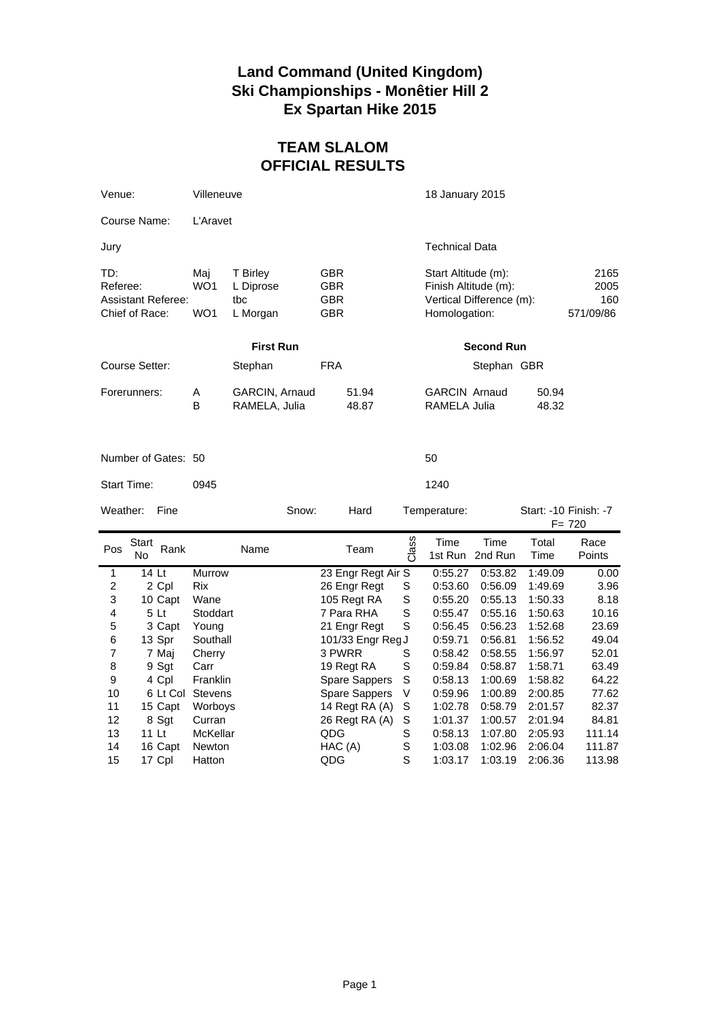## **Land Command (United Kingdom) Ski Championships - Monêtier Hill 2 Ex Spartan Hike 2015**

## **TEAM SLALOM OFFICIAL RESULTS**

| Venue:                                                         |                  | Villeneuve                    |                                          |         |                                 |                |                    | 18 January 2015                                                                          |                       |                         |                                    |                |  |  |
|----------------------------------------------------------------|------------------|-------------------------------|------------------------------------------|---------|---------------------------------|----------------|--------------------|------------------------------------------------------------------------------------------|-----------------------|-------------------------|------------------------------------|----------------|--|--|
| Course Name:                                                   |                  |                               | L'Aravet                                 |         |                                 |                |                    |                                                                                          |                       |                         |                                    |                |  |  |
| Jury                                                           |                  |                               |                                          |         |                                 |                |                    |                                                                                          | <b>Technical Data</b> |                         |                                    |                |  |  |
| TD:<br>Referee:<br><b>Assistant Referee:</b><br>Chief of Race: |                  | Maj<br>WO <sub>1</sub><br>WO1 | T Birley<br>L Diprose<br>tbc<br>L Morgan |         | GBR<br>GBR<br>GBR<br><b>GBR</b> |                |                    | Start Altitude (m):<br>Finish Altitude (m):<br>Vertical Difference (m):<br>Homologation: |                       |                         | 2165<br>2005<br>160<br>571/09/86   |                |  |  |
|                                                                | <b>First Run</b> |                               |                                          |         |                                 |                |                    | <b>Second Run</b>                                                                        |                       |                         |                                    |                |  |  |
| Course Setter:                                                 |                  |                               |                                          | Stephan |                                 | FRA            |                    |                                                                                          |                       | Stephan GBR             |                                    |                |  |  |
| Forerunners:                                                   |                  | Α<br>B                        | GARCIN, Arnaud<br>RAMELA, Julia          |         |                                 | 51.94<br>48.87 |                    | <b>GARCIN Arnaud</b><br><b>RAMELA Julia</b>                                              |                       | 50.94<br>48.32          |                                    |                |  |  |
| Number of Gates: 50                                            |                  |                               |                                          |         |                                 |                |                    |                                                                                          | 50                    |                         |                                    |                |  |  |
| Start Time:                                                    |                  | 0945                          |                                          |         |                                 |                |                    | 1240                                                                                     |                       |                         |                                    |                |  |  |
| Weather:<br>Fine                                               |                  |                               |                                          | Snow:   |                                 | Hard           |                    | Temperature:                                                                             |                       |                         | Start: -10 Finish: -7<br>$F = 720$ |                |  |  |
| Pos                                                            | Start<br>No      | Rank                          |                                          | Name    |                                 |                | Team               | Class                                                                                    | Time                  | Time<br>1st Run 2nd Run | Total<br>Time                      | Race<br>Points |  |  |
| 1                                                              |                  | $14$ Lt                       | <b>Murrow</b>                            |         |                                 |                | 23 Engr Regt Air S |                                                                                          | 0:55.27               | 0:53.82                 | 1:49.09                            | 0.00           |  |  |
| $\overline{c}$                                                 |                  | 2 Cpl                         | Rix                                      |         |                                 |                | 26 Engr Regt       | S                                                                                        | 0:53.60               | 0:56.09                 | 1:49.69                            | 3.96           |  |  |
| 3                                                              |                  | 10 Capt                       | Wane                                     |         |                                 |                | 105 Regt RA        | S                                                                                        | 0:55.20               | 0:55.13                 | 1:50.33                            | 8.18           |  |  |
| 4                                                              |                  | 5 Lt                          | Stoddart                                 |         |                                 |                | 7 Para RHA         | S                                                                                        | 0:55.47               | 0:55.16                 | 1:50.63                            | 10.16          |  |  |
| 5                                                              |                  | 3 Capt                        | Young                                    |         |                                 |                | 21 Engr Regt       | $\mathbf S$                                                                              | 0:56.45               | 0:56.23                 | 1:52.68                            | 23.69          |  |  |
| 6                                                              |                  | 13 Spr                        | Southall                                 |         |                                 |                | 101/33 Engr Reg J  |                                                                                          | 0:59.71               | 0:56.81                 | 1:56.52                            | 49.04          |  |  |
| 7                                                              |                  | 7 Maj                         | Cherry                                   |         |                                 | 3 PWRR         |                    | S                                                                                        | 0:58.42               | 0:58.55                 | 1:56.97                            | 52.01          |  |  |
| 8                                                              |                  | 9 Sgt                         | Carr                                     |         |                                 |                | 19 Regt RA         | S                                                                                        | 0:59.84               | 0:58.87                 | 1:58.71                            | 63.49          |  |  |
| 9                                                              |                  | 4 Cpl                         | Franklin                                 |         |                                 |                | Spare Sappers      | S                                                                                        | 0:58.13               | 1:00.69                 | 1:58.82                            | 64.22          |  |  |
| 10                                                             |                  |                               | 6 Lt Col Stevens                         |         |                                 |                | Spare Sappers      | V                                                                                        | 0:59.96               | 1:00.89                 | 2:00.85                            | 77.62          |  |  |
| 11                                                             |                  | 15 Capt                       | Worboys                                  |         |                                 |                | 14 Regt RA (A)     | S                                                                                        | 1:02.78               | 0:58.79                 | 2:01.57                            | 82.37          |  |  |
| 12                                                             |                  | 8 Sgt                         | Curran                                   |         |                                 |                | 26 Regt RA (A)     | $\mathbb S$                                                                              | 1:01.37               | 1:00.57                 | 2:01.94                            | 84.81          |  |  |
| 13                                                             |                  | 11 Lt                         | McKellar                                 |         |                                 | QDG            |                    | $\mathbf S$                                                                              | 0:58.13               | 1:07.80                 | 2:05.93                            | 111.14         |  |  |
|                                                                |                  |                               |                                          |         |                                 |                |                    |                                                                                          |                       |                         |                                    |                |  |  |
| 14                                                             |                  | 16 Capt<br>17 Cpl             | Newton                                   |         |                                 | HAC (A)        |                    | $\mathbf S$<br>S                                                                         | 1:03.08               | 1:02.96                 | 2:06.04                            | 111.87         |  |  |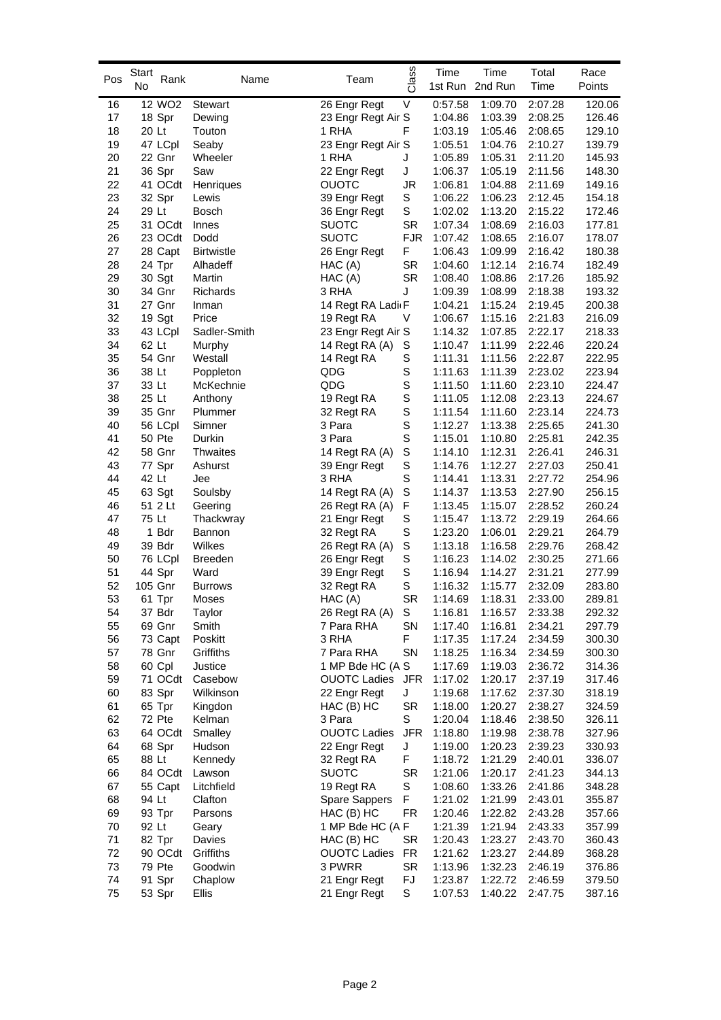| Pos  | Start<br>Rank<br>No | Name              | Team                           | Class       | Time    | Time<br>1st Run 2nd Run | Total<br>Time | Race<br>Points |
|------|---------------------|-------------------|--------------------------------|-------------|---------|-------------------------|---------------|----------------|
| 16   | 12 WO <sub>2</sub>  | <b>Stewart</b>    | 26 Engr Regt                   | V           | 0:57.58 | 1:09.70                 | 2:07.28       | 120.06         |
| 17   | 18 Spr              | Dewing            | 23 Engr Regt Air S             |             | 1:04.86 | 1:03.39                 | 2:08.25       | 126.46         |
| 18   | 20 Lt               | Touton            | 1 RHA                          | F           | 1:03.19 | 1:05.46                 | 2:08.65       | 129.10         |
| 19   | 47 LCpl             | Seaby             | 23 Engr Regt Air S             |             | 1:05.51 | 1:04.76                 | 2:10.27       | 139.79         |
| 20   | 22 Gnr              | Wheeler           | 1 RHA                          | J           | 1:05.89 | 1:05.31                 | 2:11.20       | 145.93         |
| 21   | 36 Spr              | Saw               | 22 Engr Regt                   | J           | 1:06.37 | 1:05.19                 | 2:11.56       | 148.30         |
| 22   | 41 OCdt             | Henriques         | <b>OUOTC</b>                   | JR          | 1:06.81 | 1:04.88                 | 2:11.69       | 149.16         |
| 23   | 32 Spr              | Lewis             | 39 Engr Regt                   | S           | 1:06.22 | 1:06.23                 | 2:12.45       | 154.18         |
| 24   | 29 Lt               | <b>Bosch</b>      | 36 Engr Regt                   | S           | 1:02.02 | 1:13.20                 | 2:15.22       | 172.46         |
| 25   | 31 OCdt             | Innes             | <b>SUOTC</b>                   | SR          | 1:07.34 | 1:08.69                 | 2:16.03       | 177.81         |
| 26   | 23 OCdt             | Dodd              | <b>SUOTC</b>                   | <b>FJR</b>  | 1:07.42 | 1:08.65                 | 2:16.07       | 178.07         |
| 27   | 28 Capt             | <b>Birtwistle</b> | 26 Engr Regt                   | F           | 1:06.43 | 1:09.99                 | 2:16.42       | 180.38         |
| 28   | 24 Tpr              | Alhadeff          | HAC(A)                         | SR          | 1:04.60 | 1:12.14                 | 2:16.74       | 182.49         |
| 29   | 30 Sgt              | Martin            | HAC (A)                        | SR          | 1:08.40 | 1:08.86                 | 2:17.26       | 185.92         |
| 30   | 34 Gnr              | Richards          | 3 RHA                          | J           | 1:09.39 | 1:08.99                 | 2:18.38       | 193.32         |
| 31   | 27 Gnr              | Inman             | 14 Regt RA Ladi <sub>I</sub> F |             | 1:04.21 | 1:15.24                 | 2:19.45       | 200.38         |
| 32   | 19 Sgt              | Price             | 19 Regt RA                     | V           | 1:06.67 | 1:15.16                 | 2:21.83       | 216.09         |
| 33   | 43 LCpl             | Sadler-Smith      | 23 Engr Regt Air S             |             | 1:14.32 | 1:07.85                 | 2:22.17       | 218.33         |
| 34   |                     |                   |                                |             |         |                         |               |                |
|      | 62 Lt               | Murphy            | 14 Regt RA (A)                 | S           | 1:10.47 | 1:11.99                 | 2:22.46       | 220.24         |
| 35   | 54 Gnr              | Westall           | 14 Regt RA                     | S<br>S      | 1:11.31 | 1:11.56                 | 2:22.87       | 222.95         |
| 36   | 38 Lt               | Poppleton         | QDG                            |             | 1:11.63 | 1:11.39                 | 2:23.02       | 223.94         |
| 37   | 33 Lt               | McKechnie         | QDG                            | S           | 1:11.50 | 1:11.60                 | 2:23.10       | 224.47         |
| 38   | 25 Lt               | Anthony           | 19 Regt RA                     | S           | 1:11.05 | 1:12.08                 | 2:23.13       | 224.67         |
| 39   | 35 Gnr              | Plummer           | 32 Regt RA                     | S           | 1:11.54 | 1:11.60                 | 2:23.14       | 224.73         |
| 40   | 56 LCpl             | Simner            | 3 Para                         | $\mathbf S$ | 1:12.27 | 1:13.38                 | 2:25.65       | 241.30         |
| 41   | 50 Pte              | Durkin            | 3 Para                         | $\mathbf S$ | 1:15.01 | 1:10.80                 | 2:25.81       | 242.35         |
| 42   | 58 Gnr              | <b>Thwaites</b>   | 14 Regt RA (A)                 | S           | 1:14.10 | 1:12.31                 | 2:26.41       | 246.31         |
| 43   | 77 Spr              | Ashurst           | 39 Engr Regt                   | S           | 1:14.76 | 1:12.27                 | 2:27.03       | 250.41         |
| 44   | 42 Lt               | Jee               | 3 RHA                          | S           | 1:14.41 | 1:13.31                 | 2:27.72       | 254.96         |
| 45   | 63 Sgt              | Soulsby           | 14 Regt RA (A)                 | S           | 1:14.37 | 1:13.53                 | 2:27.90       | 256.15         |
| 46   | 51 2 Lt             | Geering           | 26 Regt RA (A)                 | F           | 1:13.45 | 1:15.07                 | 2:28.52       | 260.24         |
| 47   | 75 Lt               | Thackwray         | 21 Engr Regt                   | S           | 1:15.47 | 1:13.72                 | 2:29.19       | 264.66         |
| 48   | 1 Bdr               | Bannon            | 32 Regt RA                     | S           | 1:23.20 | 1:06.01                 | 2:29.21       | 264.79         |
| 49   | 39 Bdr              | Wilkes            | 26 Regt RA (A)                 | $\mathbb S$ | 1:13.18 | 1:16.58                 | 2:29.76       | 268.42         |
| 50   | 76 LCpl             | <b>Breeden</b>    | 26 Engr Regt                   | S           | 1:16.23 | 1:14.02                 | 2:30.25       | 271.66         |
| 51   | 44 Spr              | Ward              | 39 Engr Regt                   | S           | 1:16.94 | 1:14.27                 | 2:31.21       | 277.99         |
| 52   | 105 Gnr             | <b>Burrows</b>    | 32 Regt RA                     | S           | 1:16.32 | 1:15.77                 | 2:32.09       | 283.80         |
| 53   | 61 Tpr              | Moses             | HAC(A)                         | <b>SR</b>   | 1:14.69 | 1:18.31                 | 2:33.00       | 289.81         |
| 54   | 37 Bdr              | Taylor            | 26 Regt RA (A)                 | $\mathbb S$ | 1:16.81 | 1:16.57                 | 2:33.38       | 292.32         |
| 55   | 69 Gnr              | Smith             | 7 Para RHA                     | SN          | 1:17.40 | 1:16.81                 | 2:34.21       | 297.79         |
| 56   | 73 Capt             | Poskitt           | 3 RHA                          | F           | 1:17.35 | 1:17.24                 | 2:34.59       | 300.30         |
| 57   | 78 Gnr              | Griffiths         | 7 Para RHA                     | SN          | 1:18.25 | 1:16.34                 | 2:34.59       | 300.30         |
| 58   | 60 Cpl              | Justice           | 1 MP Bde HC (A S               |             | 1:17.69 | 1:19.03                 | 2:36.72       | 314.36         |
| 59   |                     | 71 OCdt Casebow   | <b>OUOTC Ladies</b>            | JFR         | 1:17.02 | 1:20.17                 | 2:37.19       | 317.46         |
| 60   | 83 Spr              | Wilkinson         | 22 Engr Regt                   | J           | 1:19.68 | 1:17.62                 | 2:37.30       | 318.19         |
| 61   | 65 Tpr              | Kingdon           | HAC (B) HC                     | SR          | 1:18.00 | 1:20.27                 | 2:38.27       | 324.59         |
| 62   | 72 Pte              | Kelman            | 3 Para                         | S           | 1:20.04 | 1:18.46                 | 2:38.50       | 326.11         |
| 63   | 64 OCdt             | Smalley           | <b>OUOTC Ladies</b>            | <b>JFR</b>  | 1:18.80 | 1:19.98                 | 2:38.78       | 327.96         |
| 64   | 68 Spr              | Hudson            | 22 Engr Regt                   | J           | 1:19.00 | 1:20.23                 | 2:39.23       | 330.93         |
| 65   | 88 Lt               | Kennedy           | 32 Regt RA                     | F           | 1:18.72 | 1:21.29                 | 2:40.01       | 336.07         |
| 66   | 84 OCdt             | Lawson            | <b>SUOTC</b>                   | SR          | 1:21.06 | 1:20.17                 | 2:41.23       | 344.13         |
| 67   | 55 Capt             | Litchfield        | 19 Regt RA                     | S           | 1:08.60 | 1:33.26                 | 2:41.86       | 348.28         |
| 68   | 94 Lt               | Clafton           | Spare Sappers                  | F           | 1:21.02 | 1:21.99                 | 2:43.01       | 355.87         |
| 69   | 93 Tpr              | Parsons           | HAC (B) HC                     | FR          | 1:20.46 | 1:22.82                 | 2:43.28       | 357.66         |
| 70   | 92 Lt               | Geary             | 1 MP Bde HC (A F               |             | 1:21.39 | 1:21.94                 | 2:43.33       | 357.99         |
| $71$ | 82 Tpr              | Davies            | HAC (B) HC                     | <b>SR</b>   | 1:20.43 | 1:23.27                 | 2:43.70       | 360.43         |
| 72   | 90 OCdt             | Griffiths         | <b>OUOTC Ladies</b>            | FR          | 1:21.62 | 1:23.27                 | 2:44.89       | 368.28         |
| 73   | 79 Pte              | Goodwin           | 3 PWRR                         | SR          | 1:13.96 | 1:32.23                 | 2:46.19       | 376.86         |
| 74   | 91 Spr              | Chaplow           | 21 Engr Regt                   | FJ          | 1:23.87 | 1:22.72                 | 2:46.59       | 379.50         |
| 75   | 53 Spr              | Ellis             | 21 Engr Regt                   | S           | 1:07.53 | 1:40.22                 | 2:47.75       | 387.16         |